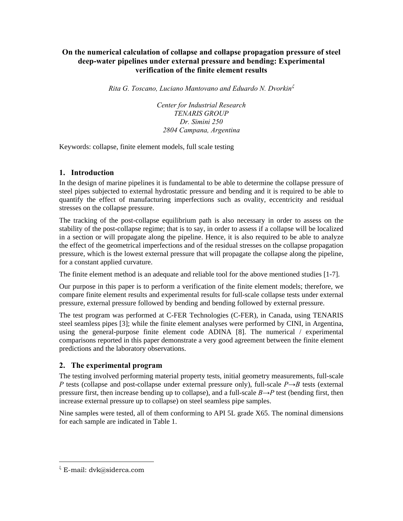# **On the numerical calculation of collapse and collapse propagation pressure of steel deep-water pipelines under external pressure and bending: Experimental verification of the finite element results**

*Rita G. Toscano, Luciano Mantovano and Eduardo N. Dvorkin*<sup>ξ</sup>

*Center for Industrial Research TENARIS GROUP Dr. Simini 250 2804 Campana, Argentina* 

Keywords: collapse, finite element models, full scale testing

# **1. Introduction**

In the design of marine pipelines it is fundamental to be able to determine the collapse pressure of steel pipes subjected to external hydrostatic pressure and bending and it is required to be able to quantify the effect of manufacturing imperfections such as ovality, eccentricity and residual stresses on the collapse pressure.

The tracking of the post-collapse equilibrium path is also necessary in order to assess on the stability of the post-collapse regime; that is to say, in order to assess if a collapse will be localized in a section or will propagate along the pipeline. Hence, it is also required to be able to analyze the effect of the geometrical imperfections and of the residual stresses on the collapse propagation pressure, which is the lowest external pressure that will propagate the collapse along the pipeline, for a constant applied curvature.

The finite element method is an adequate and reliable tool for the above mentioned studies [1-7].

Our purpose in this paper is to perform a verification of the finite element models; therefore, we compare finite element results and experimental results for full-scale collapse tests under external pressure, external pressure followed by bending and bending followed by external pressure.

The test program was performed at C-FER Technologies (C-FER), in Canada, using TENARIS steel seamless pipes [3]; while the finite element analyses were performed by CINI, in Argentina, using the general-purpose finite element code ADINA [8]. The numerical / experimental comparisons reported in this paper demonstrate a very good agreement between the finite element predictions and the laboratory observations.

# **2. The experimental program**

The testing involved performing material property tests, initial geometry measurements, full-scale *P* tests (collapse and post-collapse under external pressure only), full-scale *P*→*B* tests (external pressure first, then increase bending up to collapse), and a full-scale *B→P* test (bending first, then increase external pressure up to collapse) on steel seamless pipe samples.

Nine samples were tested, all of them conforming to API 5L grade X65. The nominal dimensions for each sample are indicated in Table 1.

 $\overline{a}$ 

 $\frac{1}{6}$  E-mail: dvk@siderca.com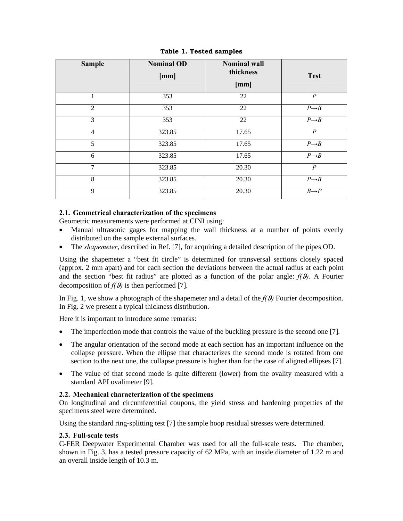| <b>Sample</b>  | <b>Nominal OD</b><br>[mm] | <b>Nominal wall</b><br>thickness<br>[mm] | <b>Test</b>       |
|----------------|---------------------------|------------------------------------------|-------------------|
| 1              | 353                       | 22                                       | $\overline{P}$    |
| 2              | 353                       | 22                                       | $P \rightarrow B$ |
| 3              | 353                       | 22                                       | $P \rightarrow B$ |
| $\overline{4}$ | 323.85                    | 17.65                                    | $\overline{P}$    |
| 5              | 323.85                    | 17.65                                    | $P \rightarrow B$ |
| 6              | 323.85                    | 17.65                                    | $P \rightarrow B$ |
| 7              | 323.85                    | 20.30                                    | $\boldsymbol{P}$  |
| 8              | 323.85                    | 20.30                                    | $P \rightarrow B$ |
| 9              | 323.85                    | 20.30                                    | $B\rightarrow P$  |

**Table 1. Tested samples** 

### **2.1. Geometrical characterization of the specimens**

Geometric measurements were performed at CINI using:

- Manual ultrasonic gages for mapping the wall thickness at a number of points evenly distributed on the sample external surfaces.
- The *shapemeter*, described in Ref. [7], for acquiring a detailed description of the pipes OD.

Using the shapemeter a "best fit circle" is determined for transversal sections closely spaced (approx. 2 mm apart) and for each section the deviations between the actual radius at each point and the section "best fit radius" are plotted as a function of the polar angle:  $f(\theta)$ . A Fourier decomposition of  $f(\theta)$  is then performed [7].

In Fig. 1, we show a photograph of the shapemeter and a detail of the  $f(\theta)$  Fourier decomposition. In Fig. 2 we present a typical thickness distribution.

Here it is important to introduce some remarks:

- The imperfection mode that controls the value of the buckling pressure is the second one [7].
- The angular orientation of the second mode at each section has an important influence on the collapse pressure. When the ellipse that characterizes the second mode is rotated from one section to the next one, the collapse pressure is higher than for the case of aligned ellipses [7].
- The value of that second mode is quite different (lower) from the ovality measured with a standard API ovalimeter [9].

### **2.2. Mechanical characterization of the specimens**

On longitudinal and circumferential coupons, the yield stress and hardening properties of the specimens steel were determined.

Using the standard ring-splitting test [7] the sample hoop residual stresses were determined.

### **2.3. Full-scale tests**

C-FER Deepwater Experimental Chamber was used for all the full-scale tests. The chamber, shown in Fig. 3, has a tested pressure capacity of 62 MPa, with an inside diameter of 1.22 m and an overall inside length of 10.3 m.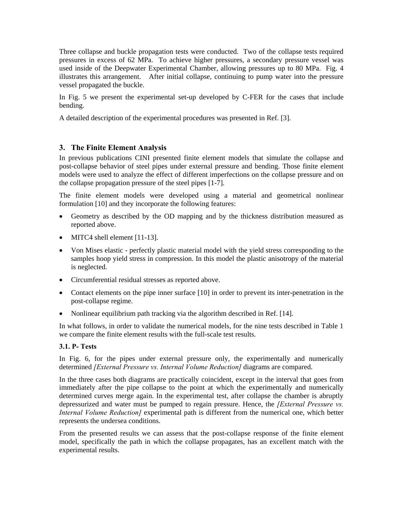Three collapse and buckle propagation tests were conducted. Two of the collapse tests required pressures in excess of 62 MPa. To achieve higher pressures, a secondary pressure vessel was used inside of the Deepwater Experimental Chamber, allowing pressures up to 80 MPa. Fig. 4 illustrates this arrangement. After initial collapse, continuing to pump water into the pressure vessel propagated the buckle.

In Fig. 5 we present the experimental set-up developed by C-FER for the cases that include bending.

A detailed description of the experimental procedures was presented in Ref. [3].

# **3. The Finite Element Analysis**

In previous publications CINI presented finite element models that simulate the collapse and post-collapse behavior of steel pipes under external pressure and bending. Those finite element models were used to analyze the effect of different imperfections on the collapse pressure and on the collapse propagation pressure of the steel pipes [1-7].

The finite element models were developed using a material and geometrical nonlinear formulation [10] and they incorporate the following features:

- Geometry as described by the OD mapping and by the thickness distribution measured as reported above.
- MITC4 shell element [11-13].
- Von Mises elastic perfectly plastic material model with the yield stress corresponding to the samples hoop yield stress in compression. In this model the plastic anisotropy of the material is neglected.
- Circumferential residual stresses as reported above.
- Contact elements on the pipe inner surface [10] in order to prevent its inter-penetration in the post-collapse regime.
- Nonlinear equilibrium path tracking via the algorithm described in Ref. [14].

In what follows, in order to validate the numerical models, for the nine tests described in Table 1 we compare the finite element results with the full-scale test results.

### **3.1. P- Tests**

In Fig. 6, for the pipes under external pressure only, the experimentally and numerically determined *[External Pressure vs. Internal Volume Reduction]* diagrams are compared.

In the three cases both diagrams are practically coincident, except in the interval that goes from immediately after the pipe collapse to the point at which the experimentally and numerically determined curves merge again. In the experimental test, after collapse the chamber is abruptly depressurized and water must be pumped to regain pressure. Hence, the *[External Pressure vs. Internal Volume Reduction]* experimental path is different from the numerical one, which better represents the undersea conditions.

From the presented results we can assess that the post-collapse response of the finite element model, specifically the path in which the collapse propagates, has an excellent match with the experimental results.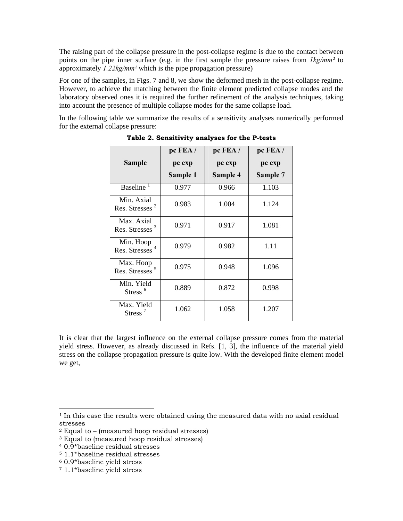The raising part of the collapse pressure in the post-collapse regime is due to the contact between points on the pipe inner surface (e.g. in the first sample the pressure raises from *1kg/mm²* to approximately *1.22kg/mm²* which is the pipe propagation pressure)

For one of the samples, in Figs. 7 and 8, we show the deformed mesh in the post-collapse regime. However, to achieve the matching between the finite element predicted collapse modes and the laboratory observed ones it is required the further refinement of the analysis techniques, taking into account the presence of multiple collapse modes for the same collapse load.

In the following table we summarize the results of a sensitivity analyses numerically performed for the external collapse pressure:

|                                                | pc FEA / | pc FEA / | pc FEA /        |
|------------------------------------------------|----------|----------|-----------------|
| Sample                                         | pc exp   | pc exp   | pc exp          |
|                                                | Sample 1 | Sample 4 | <b>Sample 7</b> |
| Baseline <sup>1</sup>                          | 0.977    | 0.966    | 1.103           |
| Min. Axial<br>Res. Stresses <sup>2</sup>       | 0.983    | 1.004    | 1.124           |
| Max. Axial<br>Res. Stresses <sup>3</sup>       | 0.971    | 0.917    | 1.081           |
| Min. Hoop<br>Res. Stresses <sup>4</sup>        | 0.979    | 0.982    | 1.11            |
| Max. Hoop<br>Res. Stresses <sup>5</sup>        | 0.975    | 0.948    | 1.096           |
| Min. Yield<br>Stress <sup>6</sup>              | 0.889    | 0.872    | 0.998           |
| Max. Yield<br>Stress <sup><math>7</math></sup> | 1.062    | 1.058    | 1.207           |

**Table 2. Sensitivity analyses for the P-tests** 

It is clear that the largest influence on the external collapse pressure comes from the material yield stress. However, as already discussed in Refs. [1, 3], the influence of the material yield stress on the collapse propagation pressure is quite low. With the developed finite element model we get,

 $\overline{a}$ 

 $1$  In this case the results were obtained using the measured data with no axial residual stresses

<sup>2</sup> Equal to – (measured hoop residual stresses)

<sup>3</sup> Equal to (measured hoop residual stresses)

<sup>4 0.9\*</sup>baseline residual stresses

<sup>5 1.1\*</sup>baseline residual stresses

<sup>6 0.9\*</sup>baseline yield stress

<sup>7 1.1\*</sup>baseline yield stress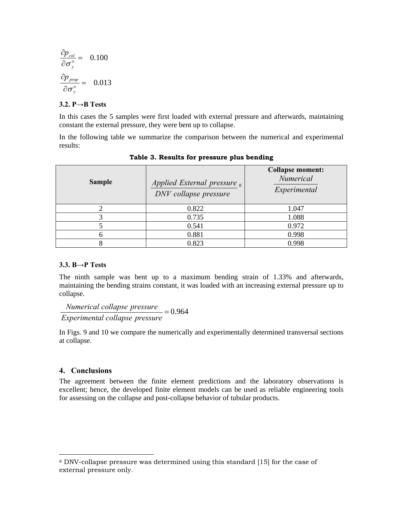$$
\frac{\partial p_{col}}{\partial \sigma_y^o} = 0.100
$$

$$
\frac{\partial p_{prop}}{\partial \sigma_y^o} = 0.013
$$

#### **3.2. P→B Tests**

In this cases the 5 samples were first loaded with external pressure and afterwards, maintaining constant the external pressure, they were bent up to collapse.

In the following table we summarize the comparison between the numerical and experimental results:

| <b>Sample</b> | Applied External pressure $_8$<br>DNV collapse pressure | <b>Collapse moment:</b><br>Numerical<br>Experimental |
|---------------|---------------------------------------------------------|------------------------------------------------------|
|               | 0.822                                                   | 1.047                                                |
|               | 0.735                                                   | 1.088                                                |
|               | 0.541                                                   | 0.972                                                |
|               | 0.881                                                   | 0.998                                                |
|               | 0.823                                                   | 0.998                                                |

#### **Table 3. Results for pressure plus bending**

#### **3.3. B→P Tests**

The ninth sample was bent up to a maximum bending strain of 1.33% and afterwards, maintaining the bending strains constant, it was loaded with an increasing external pressure up to collapse.

 $= 0.964$ *Experimental collapse pressure Numerical collapse pressure*

In Figs. 9 and 10 we compare the numerically and experimentally determined transversal sections at collapse.

#### **4. Conclusions**

 $\overline{a}$ 

The agreement between the finite element predictions and the laboratory observations is excellent; hence, the developed finite element models can be used as reliable engineering tools for assessing on the collapse and post-collapse behavior of tubular products.

<sup>8</sup> DNV-collapse pressure was determined using this standard [15] for the case of external pressure only.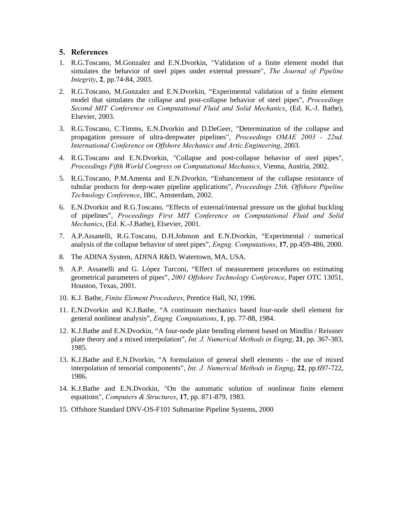### **5. References**

- 1. R.G.Toscano, M.Gonzalez and E.N.Dvorkin, "Validation of a finite element model that simulates the behavior of steel pipes under external pressure", *The Journal of Pipeline Integrity*, **2**, pp.74-84, 2003.
- 2. R.G.Toscano, M.Gonzalez and E.N.Dvorkin, "Experimental validation of a finite element model that simulates the collapse and post-collapse behavior of steel pipes", *Proceedings Second MIT Conference on Computational Fluid and Solid Mechanics*, (Ed. K.-J. Bathe), Elsevier, 2003.
- 3. R.G.Toscano, C.Timms, E.N.Dvorkin and D.DeGeer, "Determination of the collapse and propagation pressure of ultra-deepwater pipelines", *Proceedings OMAE 2003 - 22nd. International Conference on Offshore Mechanics and Artic Engineering*, 2003.
- 4. R.G.Toscano and E.N.Dvorkin, "Collapse and post-collapse behavior of steel pipes", *Proceedings Fifth World Congress on Computational Mechanics*, Vienna, Austria, 2002.
- 5. R.G.Toscano, P.M.Amenta and E.N.Dvorkin, "Enhancement of the collapse resistance of tubular products for deep-water pipeline applications", *Proceedings 25th. Offshore Pipeline Technology Conference*, IBC, Amsterdam, 2002.
- 6. E.N.Dvorkin and R.G.Toscano, "Effects of external/internal pressure on the global buckling of pipelines", *Proceedings First MIT Conference on Computational Fluid and Solid Mechanics*, (Ed. K.-J.Bathe), Elsevier, 2001.
- 7. A.P.Assanelli, R.G.Toscano, D.H.Johnson and E.N.Dvorkin, "Experimental / numerical analysis of the collapse behavior of steel pipes", *Engng. Computations*, **17**, pp.459-486, 2000.
- 8. The ADINA System, ADINA R&D, Watertown, MA, USA.
- 9. A.P. Assanelli and G. López Turconi, "Effect of measurement procedures on estimating geometrical parameters of pipes", *2001 Offshore Technology Conference*, Paper OTC 13051, Houston, Texas, 2001.
- 10. K.J. Bathe, *Finite Element Procedures*, Prentice Hall, NJ, 1996.
- 11. E.N.Dvorkin and K.J.Bathe, "A continuum mechanics based four-node shell element for general nonlinear analysis", *Engng. Computations*, **1**, pp. 77-88, 1984.
- 12. K.J.Bathe and E.N.Dvorkin, "A four-node plate bending element based on Mindlin / Reissner plate theory and a mixed interpolation", *Int. J. Numerical Methods in Engng*, **21**, pp. 367-383, 1985.
- 13. K.J.Bathe and E.N.Dvorkin, "A formulation of general shell elements the use of mixed interpolation of tensorial components", *Int. J. Numerical Methods in Engng*, **22**, pp.697-722, 1986.
- 14. K.J.Bathe and E.N.Dvorkin, "On the automatic solution of nonlinear finite element equations", *Computers & Structures*, **17**, pp. 871-879, 1983.
- 15. Offshore Standard DNV-OS-F101 Submarine Pipeline Systems, 2000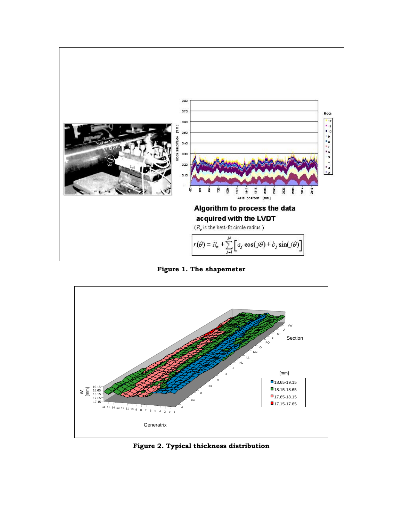

**Figure 1. The shapemeter** 



**Figure 2. Typical thickness distribution**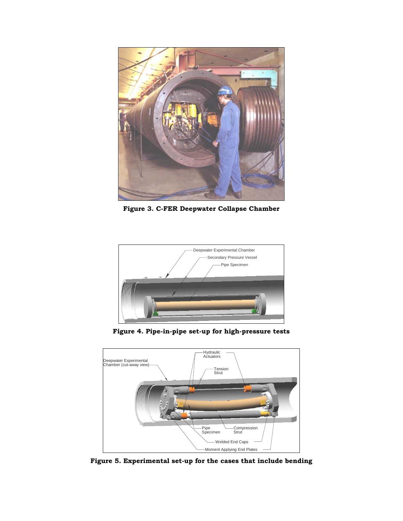

**Figure 3. C-FER Deepwater Collapse Chamber** 



**Figure 4. Pipe-in-pipe set-up for high-pressure tests** 



**Figure 5. Experimental set-up for the cases that include bending**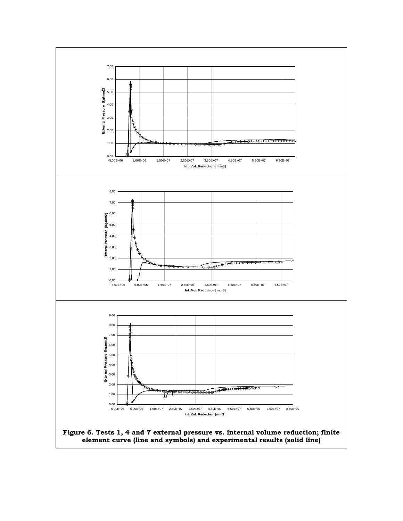